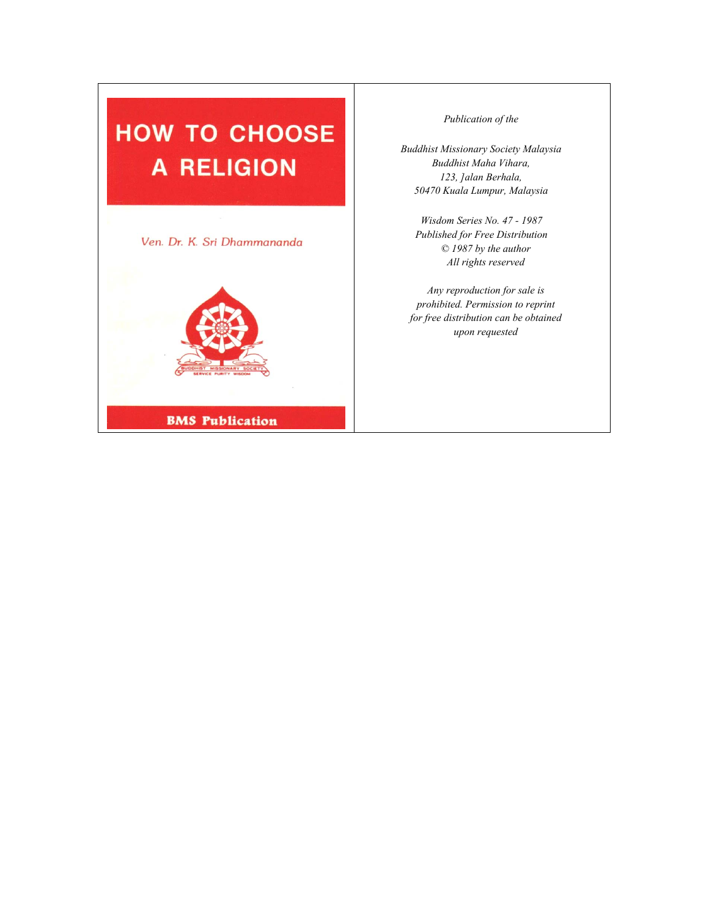# **HOW TO CHOOSE A RELIGION**



*Publication of the* 

*Buddhist Missionary Society Malaysia Buddhist Maha Vihara, 123, ]alan Berhala, 50470 Kuala Lumpur, Malaysia*

*Wisdom Series No. 47 - 1987 Published for Free Distribution © 1987 by the author All rights reserved*

*Any reproduction for sale is prohibited. Permission to reprint for free distribution can be obtained upon requested*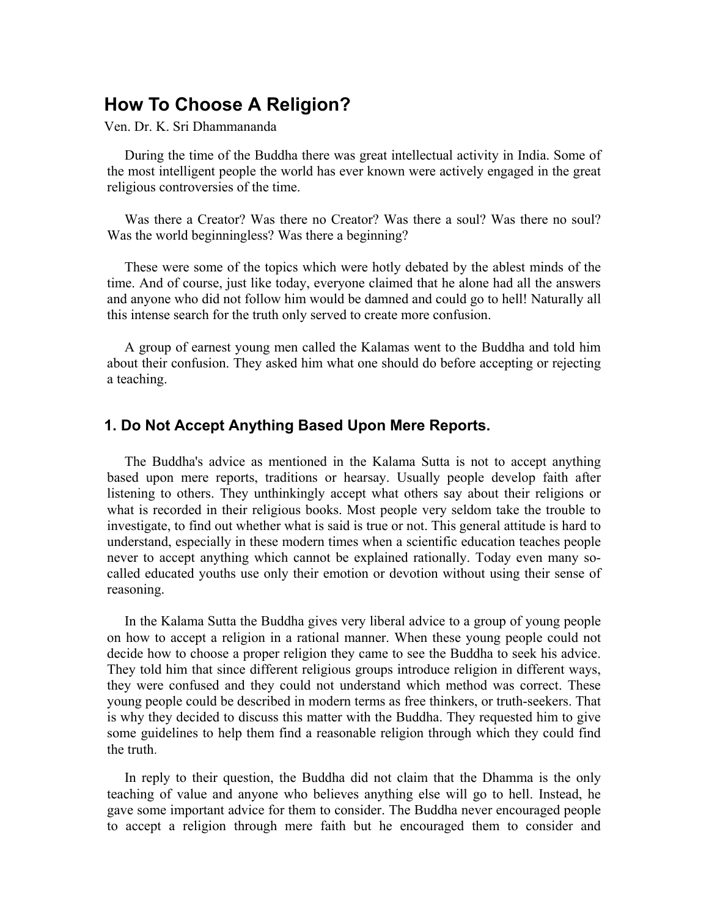# **How To Choose A Religion?**

Ven. Dr. K. Sri Dhammananda

During the time of the Buddha there was great intellectual activity in India. Some of the most intelligent people the world has ever known were actively engaged in the great religious controversies of the time.

Was there a Creator? Was there no Creator? Was there a soul? Was there no soul? Was the world beginningless? Was there a beginning?

These were some of the topics which were hotly debated by the ablest minds of the time. And of course, just like today, everyone claimed that he alone had all the answers and anyone who did not follow him would be damned and could go to hell! Naturally all this intense search for the truth only served to create more confusion.

A group of earnest young men called the Kalamas went to the Buddha and told him about their confusion. They asked him what one should do before accepting or rejecting a teaching.

#### **1. Do Not Accept Anything Based Upon Mere Reports.**

The Buddha's advice as mentioned in the Kalama Sutta is not to accept anything based upon mere reports, traditions or hearsay. Usually people develop faith after listening to others. They unthinkingly accept what others say about their religions or what is recorded in their religious books. Most people very seldom take the trouble to investigate, to find out whether what is said is true or not. This general attitude is hard to understand, especially in these modern times when a scientific education teaches people never to accept anything which cannot be explained rationally. Today even many socalled educated youths use only their emotion or devotion without using their sense of reasoning.

In the Kalama Sutta the Buddha gives very liberal advice to a group of young people on how to accept a religion in a rational manner. When these young people could not decide how to choose a proper religion they came to see the Buddha to seek his advice. They told him that since different religious groups introduce religion in different ways, they were confused and they could not understand which method was correct. These young people could be described in modern terms as free thinkers, or truth-seekers. That is why they decided to discuss this matter with the Buddha. They requested him to give some guidelines to help them find a reasonable religion through which they could find the truth.

In reply to their question, the Buddha did not claim that the Dhamma is the only teaching of value and anyone who believes anything else will go to hell. Instead, he gave some important advice for them to consider. The Buddha never encouraged people to accept a religion through mere faith but he encouraged them to consider and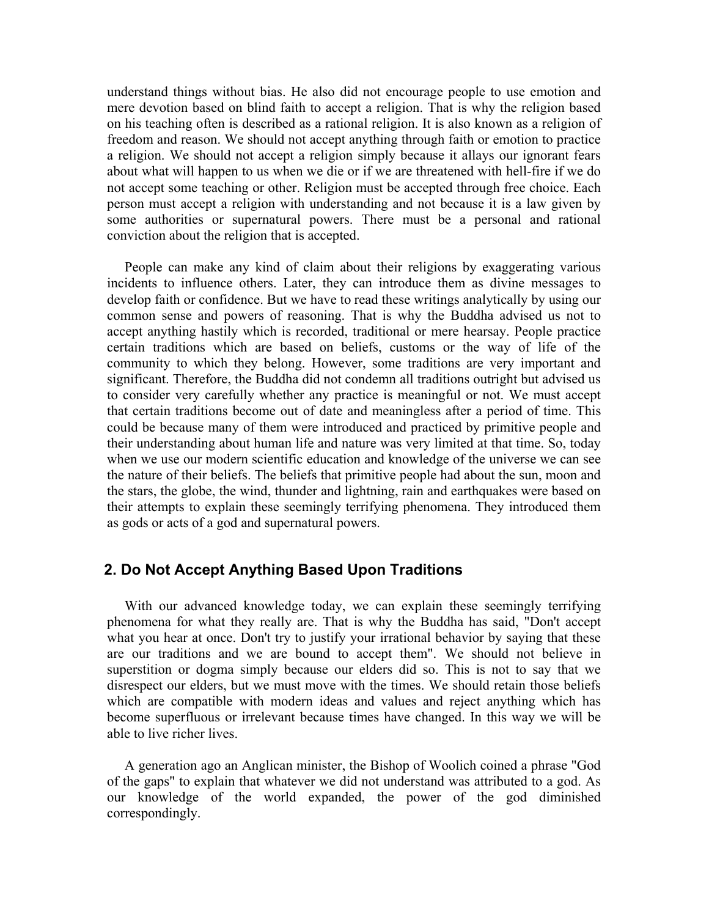understand things without bias. He also did not encourage people to use emotion and mere devotion based on blind faith to accept a religion. That is why the religion based on his teaching often is described as a rational religion. It is also known as a religion of freedom and reason. We should not accept anything through faith or emotion to practice a religion. We should not accept a religion simply because it allays our ignorant fears about what will happen to us when we die or if we are threatened with hell-fire if we do not accept some teaching or other. Religion must be accepted through free choice. Each person must accept a religion with understanding and not because it is a law given by some authorities or supernatural powers. There must be a personal and rational conviction about the religion that is accepted.

People can make any kind of claim about their religions by exaggerating various incidents to influence others. Later, they can introduce them as divine messages to develop faith or confidence. But we have to read these writings analytically by using our common sense and powers of reasoning. That is why the Buddha advised us not to accept anything hastily which is recorded, traditional or mere hearsay. People practice certain traditions which are based on beliefs, customs or the way of life of the community to which they belong. However, some traditions are very important and significant. Therefore, the Buddha did not condemn all traditions outright but advised us to consider very carefully whether any practice is meaningful or not. We must accept that certain traditions become out of date and meaningless after a period of time. This could be because many of them were introduced and practiced by primitive people and their understanding about human life and nature was very limited at that time. So, today when we use our modern scientific education and knowledge of the universe we can see the nature of their beliefs. The beliefs that primitive people had about the sun, moon and the stars, the globe, the wind, thunder and lightning, rain and earthquakes were based on their attempts to explain these seemingly terrifying phenomena. They introduced them as gods or acts of a god and supernatural powers.

#### **2. Do Not Accept Anything Based Upon Traditions**

With our advanced knowledge today, we can explain these seemingly terrifying phenomena for what they really are. That is why the Buddha has said, "Don't accept what you hear at once. Don't try to justify your irrational behavior by saying that these are our traditions and we are bound to accept them". We should not believe in superstition or dogma simply because our elders did so. This is not to say that we disrespect our elders, but we must move with the times. We should retain those beliefs which are compatible with modern ideas and values and reject anything which has become superfluous or irrelevant because times have changed. In this way we will be able to live richer lives.

A generation ago an Anglican minister, the Bishop of Woolich coined a phrase "God of the gaps" to explain that whatever we did not understand was attributed to a god. As our knowledge of the world expanded, the power of the god diminished correspondingly.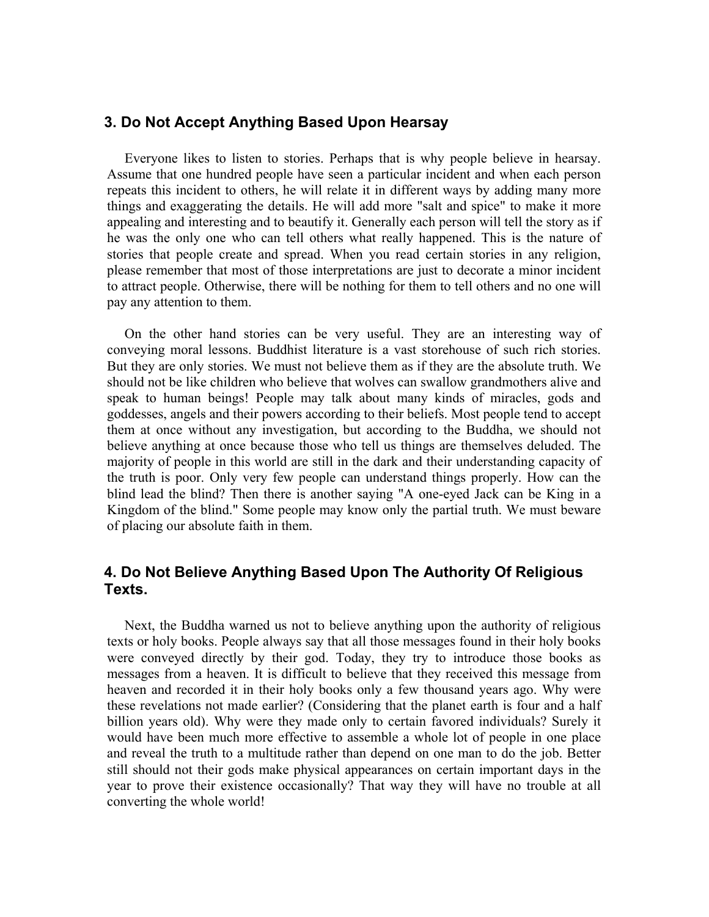### **3. Do Not Accept Anything Based Upon Hearsay**

Everyone likes to listen to stories. Perhaps that is why people believe in hearsay. Assume that one hundred people have seen a particular incident and when each person repeats this incident to others, he will relate it in different ways by adding many more things and exaggerating the details. He will add more "salt and spice" to make it more appealing and interesting and to beautify it. Generally each person will tell the story as if he was the only one who can tell others what really happened. This is the nature of stories that people create and spread. When you read certain stories in any religion, please remember that most of those interpretations are just to decorate a minor incident to attract people. Otherwise, there will be nothing for them to tell others and no one will pay any attention to them.

On the other hand stories can be very useful. They are an interesting way of conveying moral lessons. Buddhist literature is a vast storehouse of such rich stories. But they are only stories. We must not believe them as if they are the absolute truth. We should not be like children who believe that wolves can swallow grandmothers alive and speak to human beings! People may talk about many kinds of miracles, gods and goddesses, angels and their powers according to their beliefs. Most people tend to accept them at once without any investigation, but according to the Buddha, we should not believe anything at once because those who tell us things are themselves deluded. The majority of people in this world are still in the dark and their understanding capacity of the truth is poor. Only very few people can understand things properly. How can the blind lead the blind? Then there is another saying "A one-eyed Jack can be King in a Kingdom of the blind." Some people may know only the partial truth. We must beware of placing our absolute faith in them.

# **4. Do Not Believe Anything Based Upon The Authority Of Religious Texts.**

Next, the Buddha warned us not to believe anything upon the authority of religious texts or holy books. People always say that all those messages found in their holy books were conveyed directly by their god. Today, they try to introduce those books as messages from a heaven. It is difficult to believe that they received this message from heaven and recorded it in their holy books only a few thousand years ago. Why were these revelations not made earlier? (Considering that the planet earth is four and a half billion years old). Why were they made only to certain favored individuals? Surely it would have been much more effective to assemble a whole lot of people in one place and reveal the truth to a multitude rather than depend on one man to do the job. Better still should not their gods make physical appearances on certain important days in the year to prove their existence occasionally? That way they will have no trouble at all converting the whole world!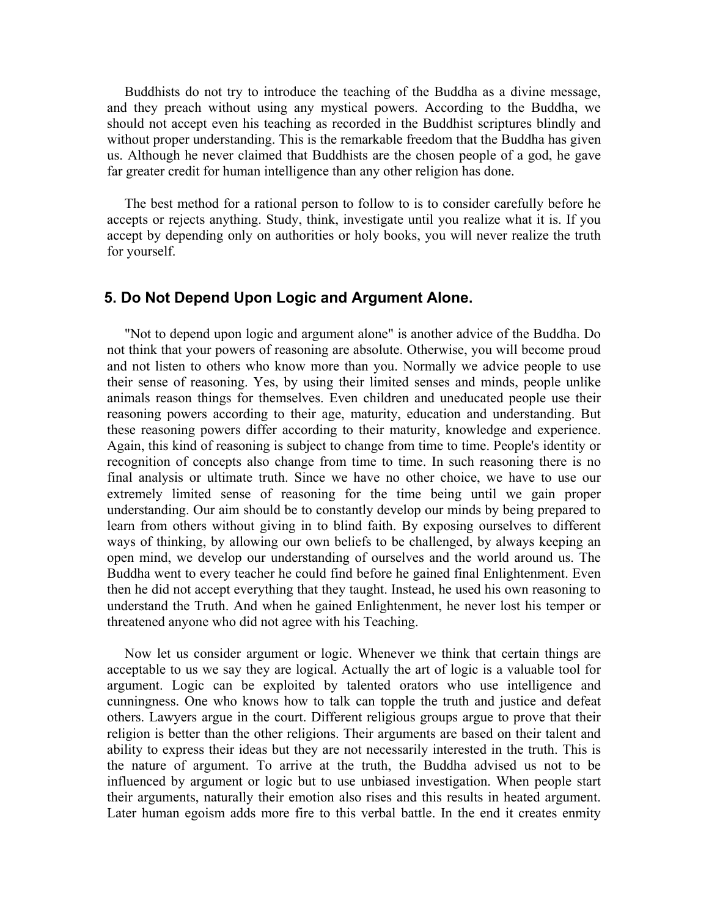Buddhists do not try to introduce the teaching of the Buddha as a divine message, and they preach without using any mystical powers. According to the Buddha, we should not accept even his teaching as recorded in the Buddhist scriptures blindly and without proper understanding. This is the remarkable freedom that the Buddha has given us. Although he never claimed that Buddhists are the chosen people of a god, he gave far greater credit for human intelligence than any other religion has done.

The best method for a rational person to follow to is to consider carefully before he accepts or rejects anything. Study, think, investigate until you realize what it is. If you accept by depending only on authorities or holy books, you will never realize the truth for yourself.

#### **5. Do Not Depend Upon Logic and Argument Alone.**

"Not to depend upon logic and argument alone" is another advice of the Buddha. Do not think that your powers of reasoning are absolute. Otherwise, you will become proud and not listen to others who know more than you. Normally we advice people to use their sense of reasoning. Yes, by using their limited senses and minds, people unlike animals reason things for themselves. Even children and uneducated people use their reasoning powers according to their age, maturity, education and understanding. But these reasoning powers differ according to their maturity, knowledge and experience. Again, this kind of reasoning is subject to change from time to time. People's identity or recognition of concepts also change from time to time. In such reasoning there is no final analysis or ultimate truth. Since we have no other choice, we have to use our extremely limited sense of reasoning for the time being until we gain proper understanding. Our aim should be to constantly develop our minds by being prepared to learn from others without giving in to blind faith. By exposing ourselves to different ways of thinking, by allowing our own beliefs to be challenged, by always keeping an open mind, we develop our understanding of ourselves and the world around us. The Buddha went to every teacher he could find before he gained final Enlightenment. Even then he did not accept everything that they taught. Instead, he used his own reasoning to understand the Truth. And when he gained Enlightenment, he never lost his temper or threatened anyone who did not agree with his Teaching.

Now let us consider argument or logic. Whenever we think that certain things are acceptable to us we say they are logical. Actually the art of logic is a valuable tool for argument. Logic can be exploited by talented orators who use intelligence and cunningness. One who knows how to talk can topple the truth and justice and defeat others. Lawyers argue in the court. Different religious groups argue to prove that their religion is better than the other religions. Their arguments are based on their talent and ability to express their ideas but they are not necessarily interested in the truth. This is the nature of argument. To arrive at the truth, the Buddha advised us not to be influenced by argument or logic but to use unbiased investigation. When people start their arguments, naturally their emotion also rises and this results in heated argument. Later human egoism adds more fire to this verbal battle. In the end it creates enmity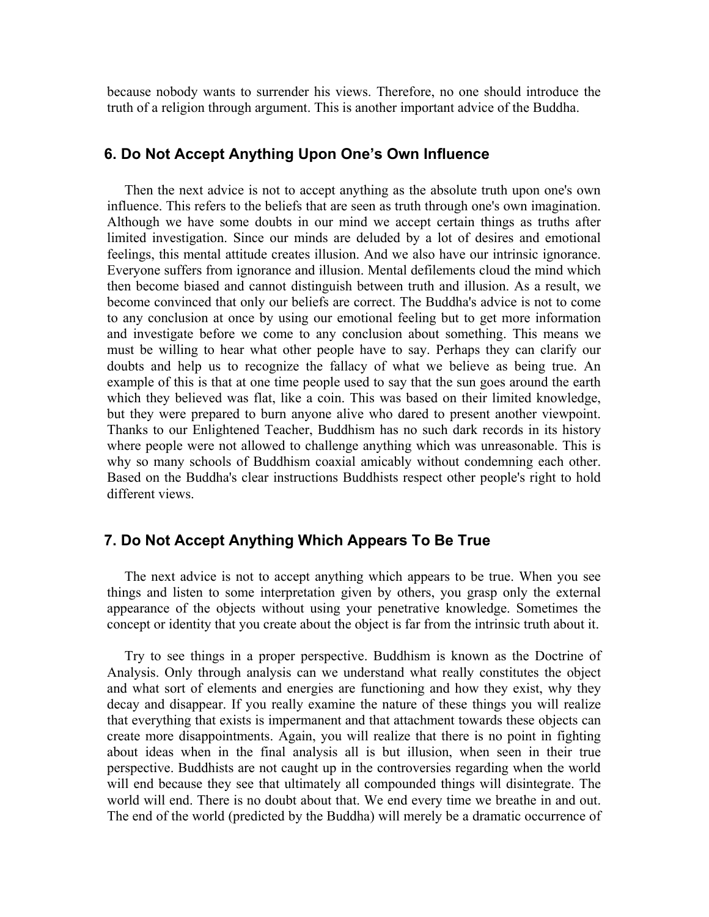because nobody wants to surrender his views. Therefore, no one should introduce the truth of a religion through argument. This is another important advice of the Buddha.

# **6. Do Not Accept Anything Upon One's Own Influence**

Then the next advice is not to accept anything as the absolute truth upon one's own influence. This refers to the beliefs that are seen as truth through one's own imagination. Although we have some doubts in our mind we accept certain things as truths after limited investigation. Since our minds are deluded by a lot of desires and emotional feelings, this mental attitude creates illusion. And we also have our intrinsic ignorance. Everyone suffers from ignorance and illusion. Mental defilements cloud the mind which then become biased and cannot distinguish between truth and illusion. As a result, we become convinced that only our beliefs are correct. The Buddha's advice is not to come to any conclusion at once by using our emotional feeling but to get more information and investigate before we come to any conclusion about something. This means we must be willing to hear what other people have to say. Perhaps they can clarify our doubts and help us to recognize the fallacy of what we believe as being true. An example of this is that at one time people used to say that the sun goes around the earth which they believed was flat, like a coin. This was based on their limited knowledge, but they were prepared to burn anyone alive who dared to present another viewpoint. Thanks to our Enlightened Teacher, Buddhism has no such dark records in its history where people were not allowed to challenge anything which was unreasonable. This is why so many schools of Buddhism coaxial amicably without condemning each other. Based on the Buddha's clear instructions Buddhists respect other people's right to hold different views.

### **7. Do Not Accept Anything Which Appears To Be True**

The next advice is not to accept anything which appears to be true. When you see things and listen to some interpretation given by others, you grasp only the external appearance of the objects without using your penetrative knowledge. Sometimes the concept or identity that you create about the object is far from the intrinsic truth about it.

Try to see things in a proper perspective. Buddhism is known as the Doctrine of Analysis. Only through analysis can we understand what really constitutes the object and what sort of elements and energies are functioning and how they exist, why they decay and disappear. If you really examine the nature of these things you will realize that everything that exists is impermanent and that attachment towards these objects can create more disappointments. Again, you will realize that there is no point in fighting about ideas when in the final analysis all is but illusion, when seen in their true perspective. Buddhists are not caught up in the controversies regarding when the world will end because they see that ultimately all compounded things will disintegrate. The world will end. There is no doubt about that. We end every time we breathe in and out. The end of the world (predicted by the Buddha) will merely be a dramatic occurrence of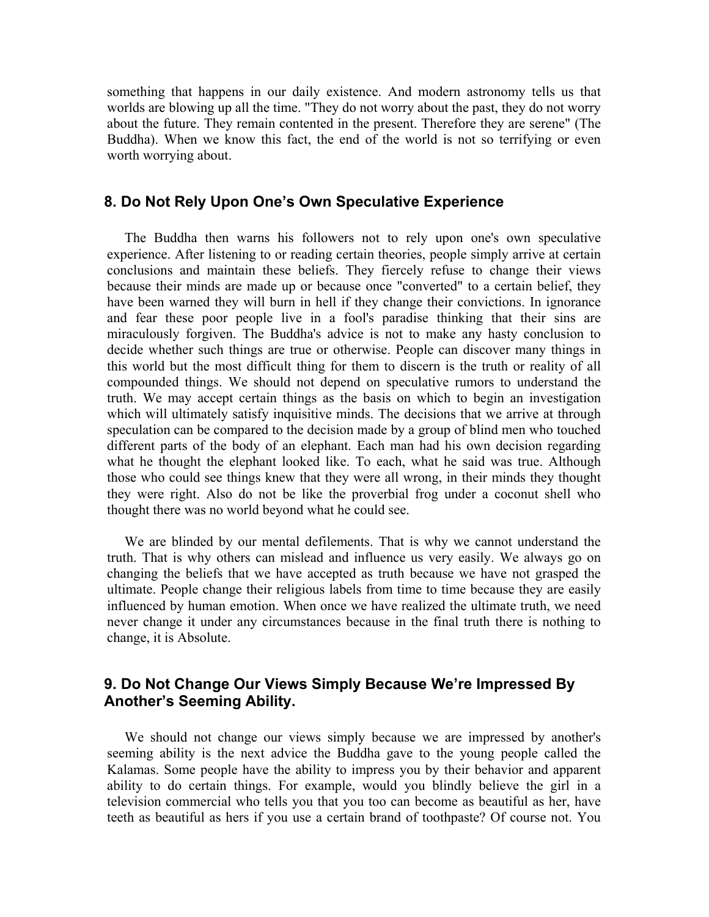something that happens in our daily existence. And modern astronomy tells us that worlds are blowing up all the time. "They do not worry about the past, they do not worry about the future. They remain contented in the present. Therefore they are serene" (The Buddha). When we know this fact, the end of the world is not so terrifying or even worth worrying about.

#### **8. Do Not Rely Upon One's Own Speculative Experience**

The Buddha then warns his followers not to rely upon one's own speculative experience. After listening to or reading certain theories, people simply arrive at certain conclusions and maintain these beliefs. They fiercely refuse to change their views because their minds are made up or because once "converted" to a certain belief, they have been warned they will burn in hell if they change their convictions. In ignorance and fear these poor people live in a fool's paradise thinking that their sins are miraculously forgiven. The Buddha's advice is not to make any hasty conclusion to decide whether such things are true or otherwise. People can discover many things in this world but the most difficult thing for them to discern is the truth or reality of all compounded things. We should not depend on speculative rumors to understand the truth. We may accept certain things as the basis on which to begin an investigation which will ultimately satisfy inquisitive minds. The decisions that we arrive at through speculation can be compared to the decision made by a group of blind men who touched different parts of the body of an elephant. Each man had his own decision regarding what he thought the elephant looked like. To each, what he said was true. Although those who could see things knew that they were all wrong, in their minds they thought they were right. Also do not be like the proverbial frog under a coconut shell who thought there was no world beyond what he could see.

We are blinded by our mental defilements. That is why we cannot understand the truth. That is why others can mislead and influence us very easily. We always go on changing the beliefs that we have accepted as truth because we have not grasped the ultimate. People change their religious labels from time to time because they are easily influenced by human emotion. When once we have realized the ultimate truth, we need never change it under any circumstances because in the final truth there is nothing to change, it is Absolute.

# **9. Do Not Change Our Views Simply Because We're Impressed By Another's Seeming Ability.**

We should not change our views simply because we are impressed by another's seeming ability is the next advice the Buddha gave to the young people called the Kalamas. Some people have the ability to impress you by their behavior and apparent ability to do certain things. For example, would you blindly believe the girl in a television commercial who tells you that you too can become as beautiful as her, have teeth as beautiful as hers if you use a certain brand of toothpaste? Of course not. You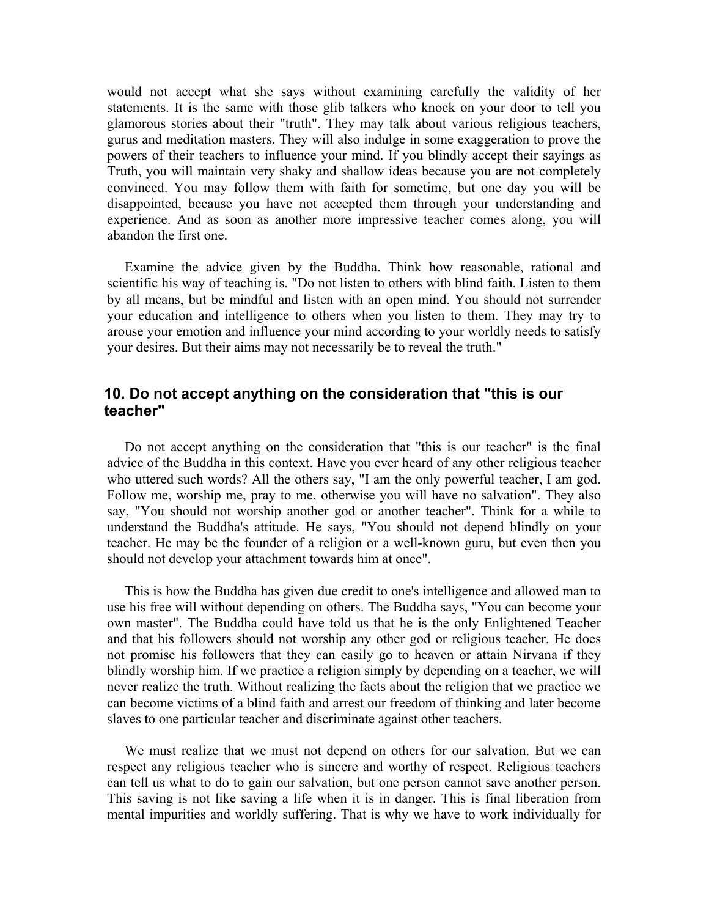would not accept what she says without examining carefully the validity of her statements. It is the same with those glib talkers who knock on your door to tell you glamorous stories about their "truth". They may talk about various religious teachers, gurus and meditation masters. They will also indulge in some exaggeration to prove the powers of their teachers to influence your mind. If you blindly accept their sayings as Truth, you will maintain very shaky and shallow ideas because you are not completely convinced. You may follow them with faith for sometime, but one day you will be disappointed, because you have not accepted them through your understanding and experience. And as soon as another more impressive teacher comes along, you will abandon the first one.

Examine the advice given by the Buddha. Think how reasonable, rational and scientific his way of teaching is. "Do not listen to others with blind faith. Listen to them by all means, but be mindful and listen with an open mind. You should not surrender your education and intelligence to others when you listen to them. They may try to arouse your emotion and influence your mind according to your worldly needs to satisfy your desires. But their aims may not necessarily be to reveal the truth."

# **10. Do not accept anything on the consideration that "this is our teacher"**

Do not accept anything on the consideration that "this is our teacher" is the final advice of the Buddha in this context. Have you ever heard of any other religious teacher who uttered such words? All the others say, "I am the only powerful teacher, I am god. Follow me, worship me, pray to me, otherwise you will have no salvation". They also say, "You should not worship another god or another teacher". Think for a while to understand the Buddha's attitude. He says, "You should not depend blindly on your teacher. He may be the founder of a religion or a well-known guru, but even then you should not develop your attachment towards him at once".

This is how the Buddha has given due credit to one's intelligence and allowed man to use his free will without depending on others. The Buddha says, "You can become your own master". The Buddha could have told us that he is the only Enlightened Teacher and that his followers should not worship any other god or religious teacher. He does not promise his followers that they can easily go to heaven or attain Nirvana if they blindly worship him. If we practice a religion simply by depending on a teacher, we will never realize the truth. Without realizing the facts about the religion that we practice we can become victims of a blind faith and arrest our freedom of thinking and later become slaves to one particular teacher and discriminate against other teachers.

We must realize that we must not depend on others for our salvation. But we can respect any religious teacher who is sincere and worthy of respect. Religious teachers can tell us what to do to gain our salvation, but one person cannot save another person. This saving is not like saving a life when it is in danger. This is final liberation from mental impurities and worldly suffering. That is why we have to work individually for